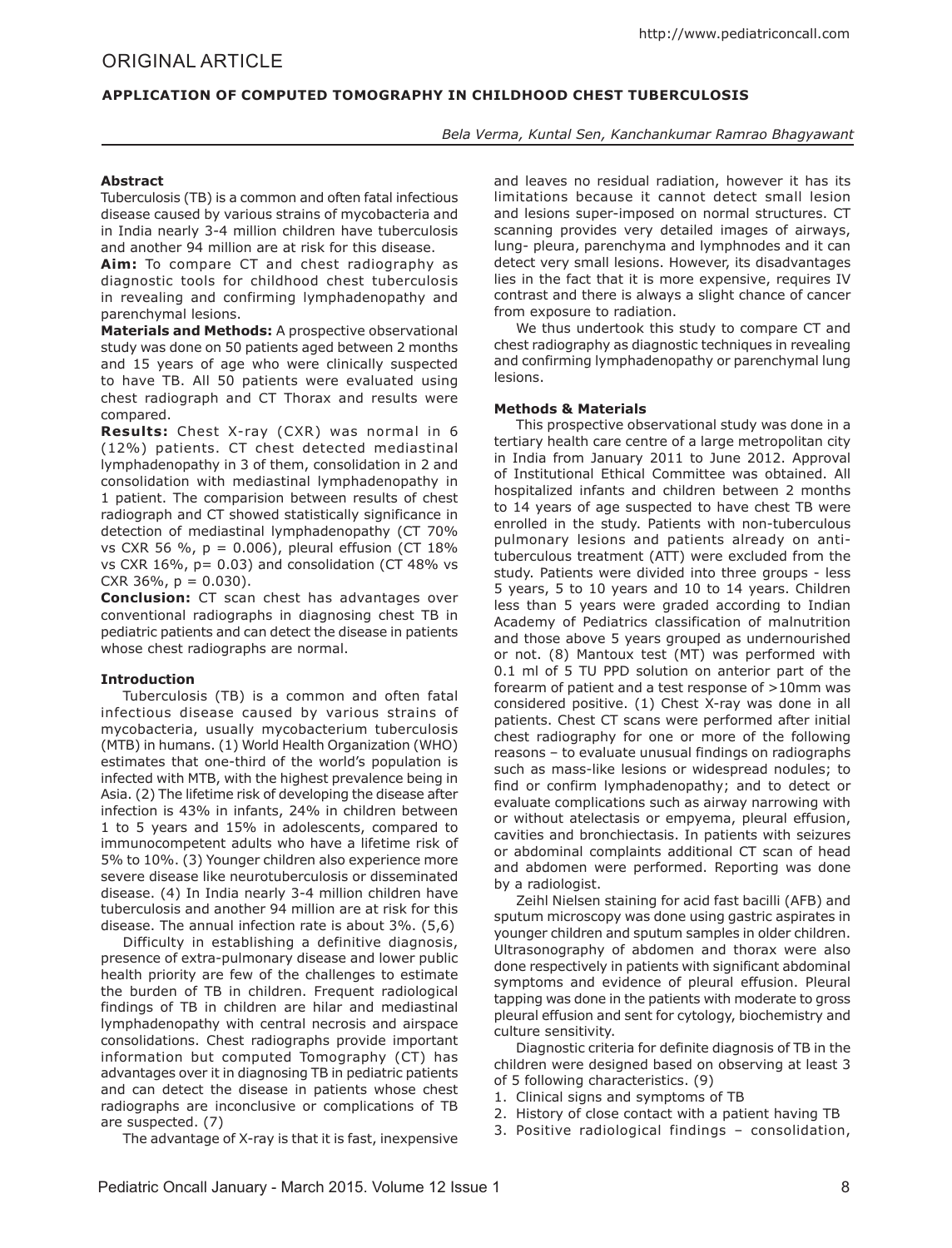# Original ARTICLE

# **APPLICATION OF COMPUTED TOMOGRAPHY IN CHILDHOOD CHEST TUBERCULOSIS**

*Bela Verma, Kuntal Sen, Kanchankumar Ramrao Bhagyawant*

## **Abstract**

Tuberculosis (TB) is a common and often fatal infectious disease caused by various strains of mycobacteria and in India nearly 3-4 million children have tuberculosis and another 94 million are at risk for this disease.

**Aim:** To compare CT and chest radiography as diagnostic tools for childhood chest tuberculosis in revealing and confirming lymphadenopathy and parenchymal lesions.

**Materials and Methods:** A prospective observational study was done on 50 patients aged between 2 months and 15 years of age who were clinically suspected to have TB. All 50 patients were evaluated using chest radiograph and CT Thorax and results were compared.

**Results:** Chest X-ray (CXR) was normal in 6 (12%) patients. CT chest detected mediastinal lymphadenopathy in 3 of them, consolidation in 2 and consolidation with mediastinal lymphadenopathy in 1 patient. The comparision between results of chest radiograph and CT showed statistically significance in detection of mediastinal lymphadenopathy (CT 70% vs CXR 56 %,  $p = 0.006$ ), pleural effusion (CT 18% vs CXR  $16\%$ ,  $p = 0.03$ ) and consolidation (CT 48% vs CXR 36%,  $p = 0.030$ ).

**Conclusion:** CT scan chest has advantages over conventional radiographs in diagnosing chest TB in pediatric patients and can detect the disease in patients whose chest radiographs are normal.

## **Introduction**

Tuberculosis (TB) is a common and often fatal infectious disease caused by various strains of mycobacteria, usually mycobacterium tuberculosis (MTB) in humans. (1) World Health Organization (WHO) estimates that one-third of the world's population is infected with MTB, with the highest prevalence being in Asia. (2) The lifetime risk of developing the disease after infection is 43% in infants, 24% in children between 1 to 5 years and 15% in adolescents, compared to immunocompetent adults who have a lifetime risk of 5% to 10%. (3) Younger children also experience more severe disease like neurotuberculosis or disseminated disease. (4) In India nearly 3-4 million children have tuberculosis and another 94 million are at risk for this disease. The annual infection rate is about 3%. (5,6)

Difficulty in establishing a definitive diagnosis, presence of extra-pulmonary disease and lower public health priority are few of the challenges to estimate the burden of TB in children. Frequent radiological findings of TB in children are hilar and mediastinal lymphadenopathy with central necrosis and airspace consolidations. Chest radiographs provide important information but computed Tomography (CT) has advantages over it in diagnosing TB in pediatric patients and can detect the disease in patients whose chest radiographs are inconclusive or complications of TB are suspected. (7)

and leaves no residual radiation, however it has its limitations because it cannot detect small lesion and lesions super-imposed on normal structures. CT scanning provides very detailed images of airways, lung- pleura, parenchyma and lymphnodes and it can detect very small lesions. However, its disadvantages lies in the fact that it is more expensive, requires IV contrast and there is always a slight chance of cancer from exposure to radiation.

We thus undertook this study to compare CT and chest radiography as diagnostic techniques in revealing and confirming lymphadenopathy or parenchymal lung lesions.

### **Methods & Materials**

This prospective observational study was done in a tertiary health care centre of a large metropolitan city in India from January 2011 to June 2012. Approval of Institutional Ethical Committee was obtained. All hospitalized infants and children between 2 months to 14 years of age suspected to have chest TB were enrolled in the study. Patients with non-tuberculous pulmonary lesions and patients already on antituberculous treatment (ATT) were excluded from the study. Patients were divided into three groups - less 5 years, 5 to 10 years and 10 to 14 years. Children less than 5 years were graded according to Indian Academy of Pediatrics classification of malnutrition and those above 5 years grouped as undernourished or not. (8) Mantoux test (MT) was performed with 0.1 ml of 5 TU PPD solution on anterior part of the forearm of patient and a test response of >10mm was considered positive. (1) Chest X-ray was done in all patients. Chest CT scans were performed after initial chest radiography for one or more of the following reasons – to evaluate unusual findings on radiographs such as mass-like lesions or widespread nodules; to find or confirm lymphadenopathy; and to detect or evaluate complications such as airway narrowing with or without atelectasis or empyema, pleural effusion, cavities and bronchiectasis. In patients with seizures or abdominal complaints additional CT scan of head and abdomen were performed. Reporting was done by a radiologist.

Zeihl Nielsen staining for acid fast bacilli (AFB) and sputum microscopy was done using gastric aspirates in younger children and sputum samples in older children. Ultrasonography of abdomen and thorax were also done respectively in patients with significant abdominal symptoms and evidence of pleural effusion. Pleural tapping was done in the patients with moderate to gross pleural effusion and sent for cytology, biochemistry and culture sensitivity.

Diagnostic criteria for definite diagnosis of TB in the children were designed based on observing at least 3 of 5 following characteristics. (9)

- 1. Clinical signs and symptoms of TB
- 2. History of close contact with a patient having TB
- 3. Positive radiological findings consolidation,

The advantage of X-ray is that it is fast, inexpensive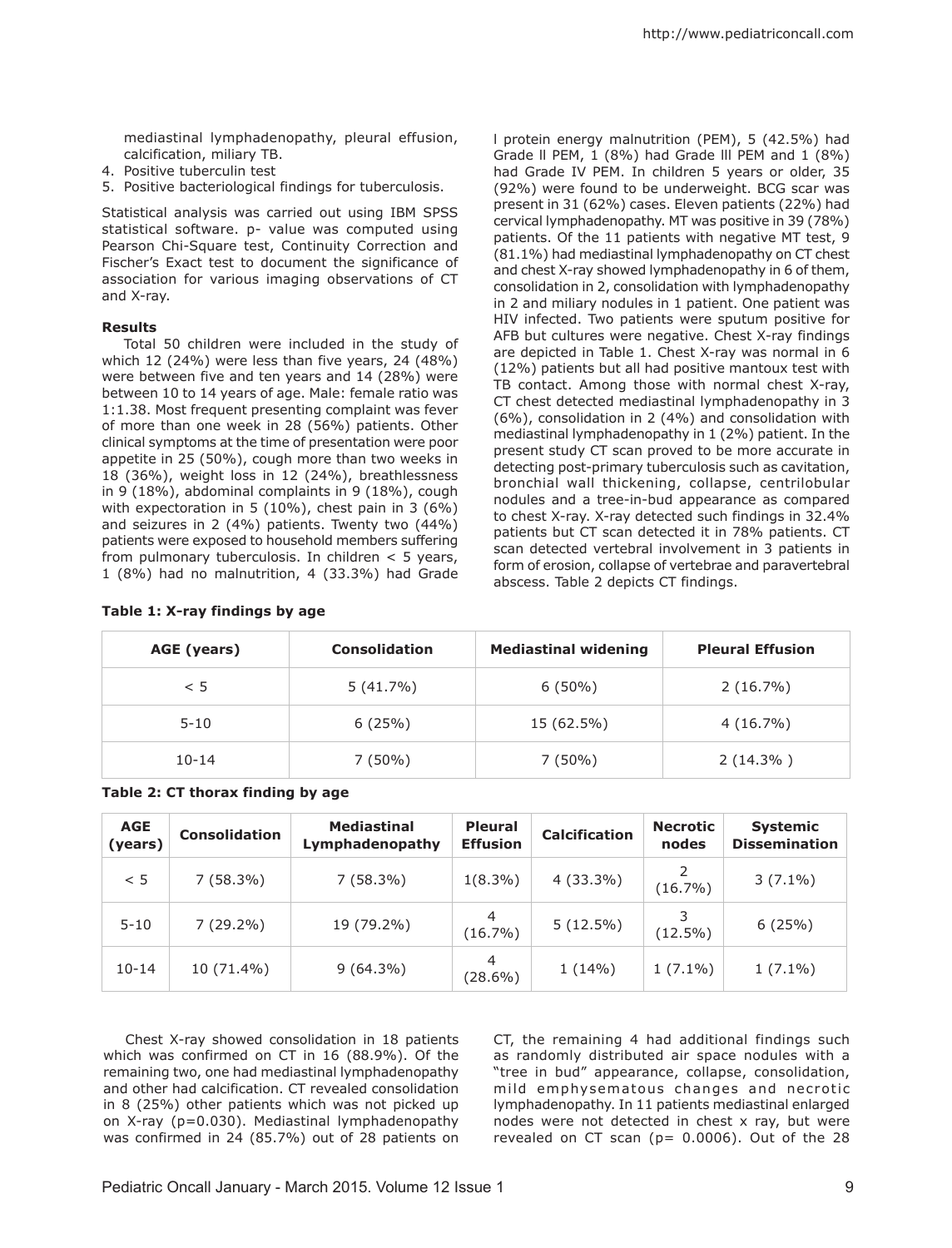mediastinal lymphadenopathy, pleural effusion, calcification, miliary TB.

- 4. Positive tuberculin test
- 5. Positive bacteriological findings for tuberculosis.

Statistical analysis was carried out using IBM SPSS statistical software. p- value was computed using Pearson Chi-Square test, Continuity Correction and Fischer's Exact test to document the significance of association for various imaging observations of CT and X-ray.

## **Results**

Total 50 children were included in the study of which 12 (24%) were less than five years, 24 (48%) were between five and ten years and 14 (28%) were between 10 to 14 years of age. Male: female ratio was 1:1.38. Most frequent presenting complaint was fever of more than one week in 28 (56%) patients. Other clinical symptoms at the time of presentation were poor appetite in 25 (50%), cough more than two weeks in 18 (36%), weight loss in 12 (24%), breathlessness in 9 (18%), abdominal complaints in 9 (18%), cough with expectoration in 5 (10%), chest pain in 3 (6%) and seizures in 2 (4%) patients. Twenty two (44%) patients were exposed to household members suffering from pulmonary tuberculosis. In children  $<$  5 years, 1 (8%) had no malnutrition, 4 (33.3%) had Grade

| (81.1%) had mediastinal lymphadenopathy on CT chest      |
|----------------------------------------------------------|
| and chest X-ray showed lymphadenopathy in 6 of them,     |
| consolidation in 2, consolidation with lymphadenopathy   |
| in 2 and miliary nodules in 1 patient. One patient was   |
| HIV infected. Two patients were sputum positive for      |
| AFB but cultures were negative. Chest X-ray findings     |
| are depicted in Table 1. Chest X-ray was normal in 6     |
| (12%) patients but all had positive mantoux test with    |
| TB contact. Among those with normal chest X-ray,         |
| CT chest detected mediastinal lymphadenopathy in 3       |
| (6%), consolidation in 2 (4%) and consolidation with     |
| mediastinal lymphadenopathy in 1 (2%) patient. In the    |
| present study CT scan proved to be more accurate in      |
|                                                          |
| detecting post-primary tuberculosis such as cavitation,  |
| bronchial wall thickening, collapse, centrilobular       |
| nodules and a tree-in-bud appearance as compared         |
| to chest X-ray. X-ray detected such findings in 32.4%    |
| patients but CT scan detected it in 78% patients. CT     |
| scan detected vertebral involvement in 3 patients in     |
| form of erosion, collapse of vertebrae and paravertebral |
| abscess. Table 2 depicts CT findings.                    |

l protein energy malnutrition (PEM), 5 (42.5%) had Grade ll PEM, 1 (8%) had Grade lll PEM and 1 (8%) had Grade IV PEM. In children 5 years or older, 35 (92%) were found to be underweight. BCG scar was present in 31 (62%) cases. Eleven patients (22%) had cervical lymphadenopathy. MT was positive in 39 (78%) patients. Of the 11 patients with negative MT test, 9

| AGE (years) | <b>Consolidation</b> | <b>Mediastinal widening</b> | <b>Pleural Effusion</b> |
|-------------|----------------------|-----------------------------|-------------------------|
| < 5         | $5(41.7\%)$          | $6(50\%)$                   | $2(16.7\%)$             |
| $5 - 10$    | 6(25%)               | 15 (62.5%)                  | $4(16.7\%)$             |
| $10 - 14$   | $7(50\%)$            | $7(50\%)$                   | $2(14.3\%)$             |

**Table 2: CT thorax finding by age**

**Table 1: X-ray findings by age**

| <b>AGE</b><br>(years) | <b>Consolidation</b> | <b>Mediastinal</b><br>Lymphadenopathy | <b>Pleural</b><br><b>Effusion</b> | <b>Calcification</b> | <b>Necrotic</b><br>nodes | <b>Systemic</b><br><b>Dissemination</b> |
|-----------------------|----------------------|---------------------------------------|-----------------------------------|----------------------|--------------------------|-----------------------------------------|
| < 5                   | $7(58.3\%)$          | $7(58.3\%)$                           | $1(8.3\%)$                        | $4(33.3\%)$          | $(16.7\%)$               | $3(7.1\%)$                              |
| $5 - 10$              | $7(29.2\%)$          | 19 (79.2%)                            | $\overline{4}$<br>$(16.7\%)$      | $5(12.5\%)$          | (12.5%)                  | 6(25%)                                  |
| $10 - 14$             | 10 (71.4%)           | $9(64.3\%)$                           | 4<br>$(28.6\%)$                   | $1(14\%)$            | $1(7.1\%)$               | $1(7.1\%)$                              |

Chest X-ray showed consolidation in 18 patients which was confirmed on CT in 16 (88.9%). Of the remaining two, one had mediastinal lymphadenopathy and other had calcification. CT revealed consolidation in 8 (25%) other patients which was not picked up on X-ray (p=0.030). Mediastinal lymphadenopathy was confirmed in 24 (85.7%) out of 28 patients on CT, the remaining 4 had additional findings such as randomly distributed air space nodules with a "tree in bud" appearance, collapse, consolidation, mild emphysematous changes and necrotic lymphadenopathy. In 11 patients mediastinal enlarged nodes were not detected in chest x ray, but were revealed on CT scan ( $p= 0.0006$ ). Out of the 28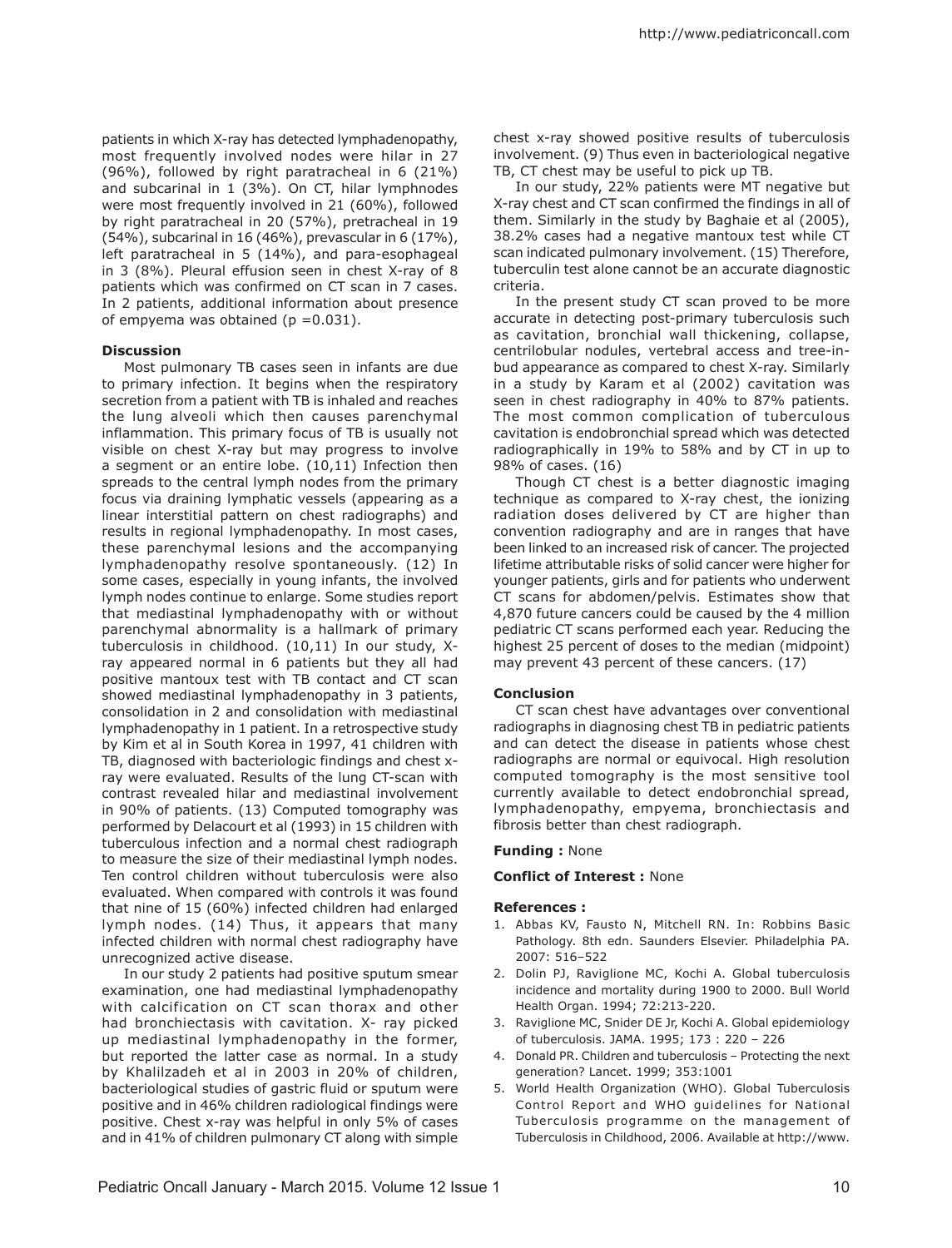patients in which X-ray has detected lymphadenopathy, most frequently involved nodes were hilar in 27 (96%), followed by right paratracheal in 6 (21%) and subcarinal in 1 (3%). On CT, hilar lymphnodes were most frequently involved in 21 (60%), followed by right paratracheal in 20 (57%), pretracheal in 19 (54%), subcarinal in 16 (46%), prevascular in 6 (17%), left paratracheal in 5 (14%), and para-esophageal in 3 (8%). Pleural effusion seen in chest X-ray of 8 patients which was confirmed on CT scan in 7 cases. In 2 patients, additional information about presence of empyema was obtained ( $p = 0.031$ ).

#### **Discussion**

Most pulmonary TB cases seen in infants are due to primary infection. It begins when the respiratory secretion from a patient with TB is inhaled and reaches the lung alveoli which then causes parenchymal inflammation. This primary focus of TB is usually not visible on chest X-ray but may progress to involve a segment or an entire lobe. (10,11) Infection then spreads to the central lymph nodes from the primary focus via draining lymphatic vessels (appearing as a linear interstitial pattern on chest radiographs) and results in regional lymphadenopathy. In most cases, these parenchymal lesions and the accompanying lymphadenopathy resolve spontaneously. (12) In some cases, especially in young infants, the involved lymph nodes continue to enlarge. Some studies report that mediastinal lymphadenopathy with or without parenchymal abnormality is a hallmark of primary tuberculosis in childhood. (10,11) In our study, Xray appeared normal in 6 patients but they all had positive mantoux test with TB contact and CT scan showed mediastinal lymphadenopathy in 3 patients, consolidation in 2 and consolidation with mediastinal lymphadenopathy in 1 patient. In a retrospective study by Kim et al in South Korea in 1997, 41 children with TB, diagnosed with bacteriologic findings and chest xray were evaluated. Results of the lung CT-scan with contrast revealed hilar and mediastinal involvement in 90% of patients. (13) Computed tomography was performed by Delacourt et al (1993) in 15 children with tuberculous infection and a normal chest radiograph to measure the size of their mediastinal lymph nodes. Ten control children without tuberculosis were also evaluated. When compared with controls it was found that nine of 15 (60%) infected children had enlarged lymph nodes. (14) Thus, it appears that many infected children with normal chest radiography have unrecognized active disease.

In our study 2 patients had positive sputum smear examination, one had mediastinal lymphadenopathy with calcification on CT scan thorax and other had bronchiectasis with cavitation. X- ray picked up mediastinal lymphadenopathy in the former, but reported the latter case as normal. In a study by Khalilzadeh et al in 2003 in 20% of children, bacteriological studies of gastric fluid or sputum were positive and in 46% children radiological findings were positive. Chest x-ray was helpful in only 5% of cases and in 41% of children pulmonary CT along with simple

chest x-ray showed positive results of tuberculosis involvement. (9) Thus even in bacteriological negative TB, CT chest may be useful to pick up TB.

In our study, 22% patients were MT negative but X-ray chest and CT scan confirmed the findings in all of them. Similarly in the study by Baghaie et al (2005), 38.2% cases had a negative mantoux test while CT scan indicated pulmonary involvement. (15) Therefore, tuberculin test alone cannot be an accurate diagnostic criteria.

In the present study CT scan proved to be more accurate in detecting post-primary tuberculosis such as cavitation, bronchial wall thickening, collapse, centrilobular nodules, vertebral access and tree-inbud appearance as compared to chest X-ray. Similarly in a study by Karam et al (2002) cavitation was seen in chest radiography in 40% to 87% patients. The most common complication of tuberculous cavitation is endobronchial spread which was detected radiographically in 19% to 58% and by CT in up to 98% of cases. (16)

Though CT chest is a better diagnostic imaging technique as compared to X-ray chest, the ionizing radiation doses delivered by CT are higher than convention radiography and are in ranges that have been linked to an increased risk of cancer. The projected lifetime attributable risks of solid cancer were higher for younger patients, girls and for patients who underwent CT scans for abdomen/pelvis. Estimates show that 4,870 future cancers could be caused by the 4 million pediatric CT scans performed each year. Reducing the highest 25 percent of doses to the median (midpoint) may prevent 43 percent of these cancers. (17)

#### **Conclusion**

CT scan chest have advantages over conventional radiographs in diagnosing chest TB in pediatric patients and can detect the disease in patients whose chest radiographs are normal or equivocal. High resolution computed tomography is the most sensitive tool currently available to detect endobronchial spread, lymphadenopathy, empyema, bronchiectasis and fibrosis better than chest radiograph.

#### **Funding :** None

#### **Conflict of Interest :** None

#### **References :**

- 1. Abbas KV, Fausto N, Mitchell RN. In: Robbins Basic Pathology. 8th edn. Saunders Elsevier. Philadelphia PA. 2007: 516–522
- 2. Dolin PJ, Raviglione MC, Kochi A. Global tuberculosis incidence and mortality during 1900 to 2000. Bull World Health Organ. 1994; 72:213-220.
- 3. Raviglione MC, Snider DE Jr, Kochi A. Global epidemiology of tuberculosis. JAMA. 1995; 173 : 220 – 226
- 4. Donald PR. Children and tuberculosis Protecting the next generation? Lancet. 1999; 353:1001
- 5. World Health Organization (WHO). Global Tuberculosis Control Report and WHO guidelines for National Tuberculosis programme on the management of Tuberculosis in Childhood, 2006. Available at http://www.